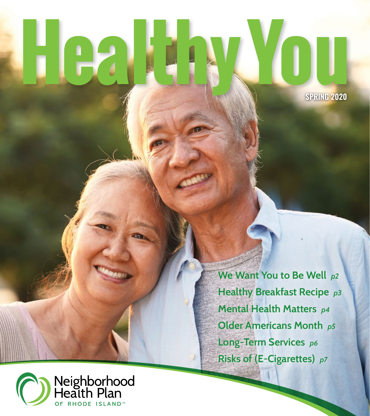# i (e)

**SPRING 2020**

**We Want You to Be Well** *p2*  **Healthy Breakfast Recipe** *p3*  **Mental Health Matters** *p4*  **Older Americans Month** *p5*  **Long-Term Services** *p6*  **Risks of (E-Cigarettes)** *p7*

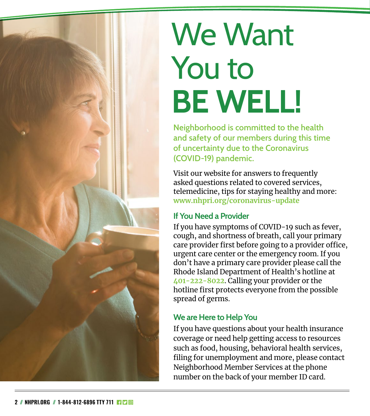

### We Want You to **BE WELL!**

**Neighborhood is committed to the health and safety of our members during this time of uncertainty due to the Coronavirus (COVID-19) pandemic.** 

Visit our website for answers to frequently asked questions related to covered services, telemedicine, tips for staying healthy and more: **[www.nhpri.org/coronavirus-update](http://www.nhpri.org/coronavirus-update)** 

#### **If You Need a Provider**

If you have symptoms of COVID-19 such as fever, cough, and shortness of breath, call your primary care provider first before going to a provider office, urgent care center or the emergency room. If you don't have a primary care provider please call the Rhode Island Department of Health's hotline at **401-222-8022**. Calling your provider or the hotline first protects everyone from the possible spread of germs.

#### **We are Here to Help You**

If you have questions about your health insurance coverage or need help getting access to resources such as food, housing, behavioral health services, filing for unemployment and more, please contact Neighborhood Member Services at the phone number on the back of your member ID card.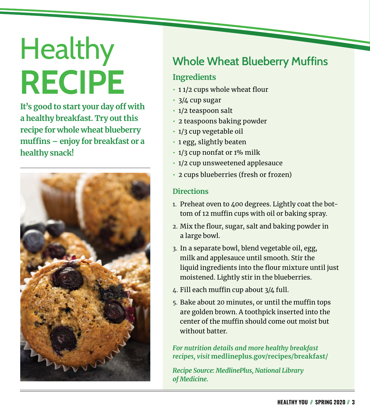# **Healthy RECIPE**

**It's good to start your day off with a healthy breakfast. Try out this recipe for whole wheat blueberry muffins – enjoy for breakfast or a healthy snack!** 



#### **Whole Wheat Blueberry Muffins**

#### **Ingredients**

- **•** 1 1/2 cups whole wheat flour
- **•** 3/4 cup sugar
- **•** 1/2 teaspoon salt
- **•** 2 teaspoons baking powder
- **•** 1/3 cup vegetable oil
- **•** 1 egg, slightly beaten
- **•** 1/3 cup nonfat or 1% milk
- **•** 1/2 cup unsweetened applesauce
- **•** 2 cups blueberries (fresh or frozen)

#### **Directions**

- 1. Preheat oven to 400 degrees. Lightly coat the bottom of 12 muffin cups with oil or baking spray.
- 2. Mix the flour, sugar, salt and baking powder in a large bowl.
- 3. In a separate bowl, blend vegetable oil, egg, milk and applesauce until smooth. Stir the liquid ingredients into the flour mixture until just moistened. Lightly stir in the blueberries.
- 4. Fill each muffin cup about 3/4 full.
- 5. Bake about 20 minutes, or until the muffin tops are golden brown. A toothpick inserted into the center of the muffin should come out moist but without batter.

*For nutrition details and more healthy breakfast recipes, visit* **[medlineplus.gov/recipes/breakfast/](https://medlineplus.gov/recipes/breakfast/)**

*Recipe Source: MedlinePlus, National Library of Medicine.*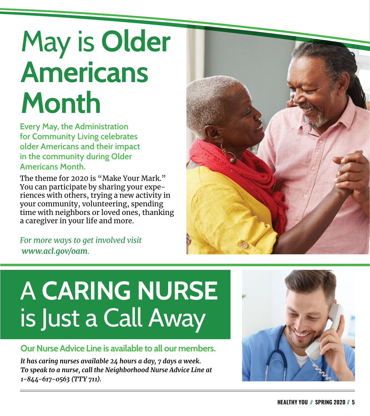### May is **Older Americans Month**

**Every May, the Administration for Community Living celebrates older Americans and their impact in the community during Older Americans Month.** 

The theme for 2020 is "Make Your Mark." You can participate by sharing your experiences with others, trying a new activity in your community, volunteering, spending time with neighbors or loved ones, thanking a caregiver in your life and more.

*For more ways to get involved visit [www.acl.gov/oam](http://www.acl.gov/oam).* 



#### **Our Nurse Advice Line is available to all our members.**

*It has caring nurses available 24 hours a day, 7 days a week. To speak to a nurse, call the Neighborhood Nurse Advice Line at 1-844-617-0563 (TTY 711).*



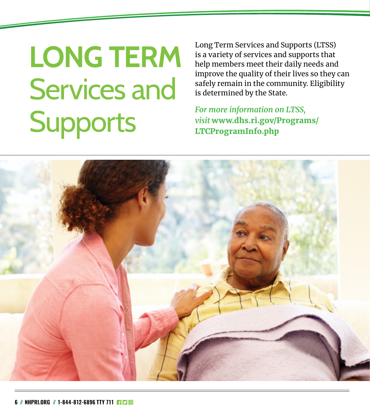### **LONG TERM** Services and **Supports**

Long Term Services and Supports (LTSS) is a variety of services and supports that help members meet their daily needs and improve the quality of their lives so they can safely remain in the community. Eligibility is determined by the State.

*For more information on LTSS, visit* www.dhs.ri.gov/Programs/ LTCProgramInfo.php

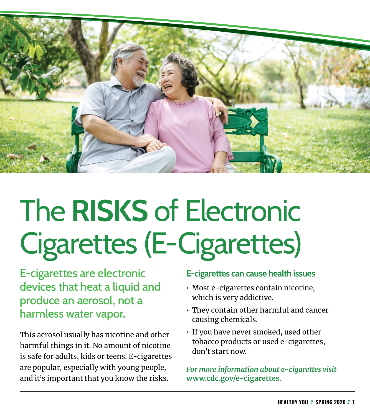

# The **RISKS** of Electronic Cigarettes (E-Cigarettes)

E-cigarettes are electronic devices that heat a liquid and produce an aerosol, not a harmless water vapor.

This aerosol usually has nicotine and other harmful things in it. No amount of nicotine is safe for adults, kids or teens. E-cigarettes are popular, especially with young people, and it's important that you know the risks.

#### **E-cigarettes can cause health issues**

- Most e-cigarettes contain nicotine, which is very addictive.
- They contain other harmful and cancer causing chemicals.
- If you have never smoked, used other tobacco products or used e-cigarettes, don't start now.

*For more information about e-cigarettes visit*  **[www.cdc.gov/e-cigarettes](http://www.cdc.gov/e-cigarettes).**